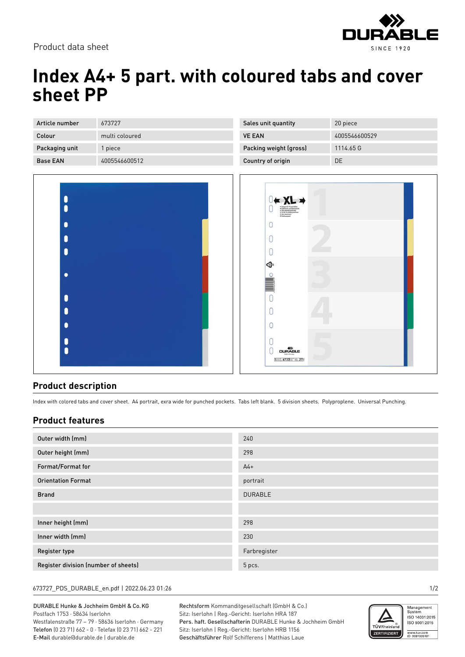

# **Index A4+ 5 part. with coloured tabs and cover sheet PP**

| Article number  | 673727         |
|-----------------|----------------|
| Colour          | multi coloured |
| Packaging unit  | 1 piece        |
| <b>Base FAN</b> | 4005546600512  |

| A |                                                                                                                                                                                               |
|---|-----------------------------------------------------------------------------------------------------------------------------------------------------------------------------------------------|
| Ē | <u> 1989 - Jan Stein Berger, mars e</u>                                                                                                                                                       |
|   |                                                                                                                                                                                               |
|   |                                                                                                                                                                                               |
|   | <u> 1999 - Jan Jawa Barat, pamanganan saint dina kalimanan dan ing kalimanan dan ing kalimanan dan ing dina kalim</u><br>$\mathcal{L}(\mathcal{L}(\mathcal{L}))$ is a subsequently defined by |
|   |                                                                                                                                                                                               |
| ĕ |                                                                                                                                                                                               |

| Sales unit quantity    | 20 piece      |
|------------------------|---------------|
| <b>VE FAN</b>          | 4005546600529 |
| Packing weight (gross) | 1114.65 G     |
| Country of origin      | DΕ            |



### **Product description**

Index with colored tabs and cover sheet. A4 portrait, exra wide for punched pockets. Tabs left blank. 5 division sheets. Polyproplene. Universal Punching.

### **Product features**

| Outer width (mm)                     | 240            |
|--------------------------------------|----------------|
| Outer height (mm)                    | 298            |
| Format/Format for                    | $A4+$          |
| <b>Orientation Format</b>            | portrait       |
| <b>Brand</b>                         | <b>DURABLE</b> |
|                                      |                |
| Inner height (mm)                    | 298            |
| Inner width (mm)                     | 230            |
| <b>Register type</b>                 | Farbregister   |
| Register division (number of sheets) | 5 pcs.         |

#### 673727\_PDS\_DURABLE\_en.pdf | 2022.06.23 01:26 1/2

DURABLE Hunke & Jochheim GmbH & Co.KG Postfach 1753 · 58634 Iserlohn Westfalenstraße 77 – 79 · 58636 Iserlohn · Germany Telefon (0 23 71) 662 - 0 · Telefax (0 23 71) 662 - 221 E-Mail durable@durable.de | durable.de

Rechtsform Kommanditgesellschaft (GmbH & Co.) Sitz: Iserlohn | Reg.-Gericht: Iserlohn HRA 187 Pers. haft. Gesellschafterin DURABLE Hunke & Jochheim GmbH Sitz: Iserlohn | Reg.-Gericht: Iserlohn HRB 1156 Geschäftsführer Rolf Schifferens | Matthias Laue